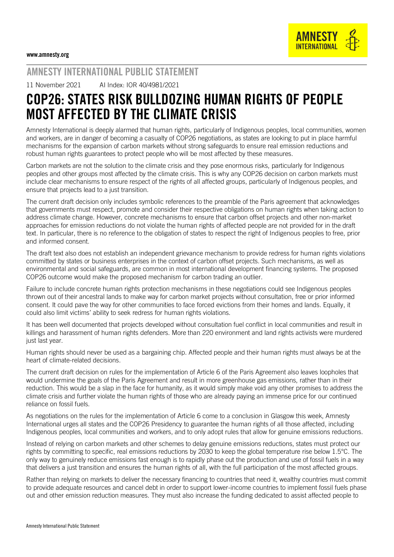

## AMNESTY INTERNATIONAL PUBLIC STATEMENT

11 November 2021 AI Index: IOR 40/4981/2021

## COP26: STATES RISK BULLDOZING HUMAN RIGHTS OF PEOPLE MOST AFFECTED BY THE CLIMATE CRISIS

Amnesty International is deeply alarmed that human rights, particularly of Indigenous peoples, local communities, women and workers, are in danger of becoming a casualty of COP26 negotiations, as states are looking to put in place harmful mechanisms for the expansion of carbon markets without strong safeguards to ensure real emission reductions and robust human rights guarantees to protect people who will be most affected by these measures.

Carbon markets are not the solution to the climate crisis and they pose enormous risks, particularly for Indigenous peoples and other groups most affected by the climate crisis. This is why any COP26 decision on carbon markets must include clear mechanisms to ensure respect of the rights of all affected groups, particularly of Indigenous peoples, and ensure that projects lead to a just transition.

The current draft decision only includes symbolic references to the preamble of the Paris agreement that acknowledges that governments must respect, promote and consider their respective obligations on human rights when taking action to address climate change. However, concrete mechanisms to ensure that carbon offset projects and other non-market approaches for emission reductions do not violate the human rights of affected people are not provided for in the draft text. In particular, there is no reference to the obligation of states to respect the right of Indigenous peoples to free, prior and informed consent.

The draft text also does not establish an independent grievance mechanism to provide redress for human rights violations committed by states or business enterprises in the context of carbon offset projects. Such mechanisms, as well as environmental and social safeguards, are common in most international development financing systems. The proposed COP26 outcome would make the proposed mechanism for carbon trading an outlier.

Failure to include concrete human rights protection mechanisms in these negotiations could see Indigenous peoples thrown out of their ancestral lands to make way for carbon market projects without consultation, free or prior informed consent. It could pave the way for other communities to face forced evictions from their homes and lands. Equally, it could also limit victims' ability to seek redress for human rights violations.

It has been well documented that projects developed without consultation fuel conflict in local communities and result in killings and harassment of human rights defenders. More than 220 environment and land rights activists were murdered just last year.

Human rights should never be used as a bargaining chip. Affected people and their human rights must always be at the heart of climate-related decisions.

The current draft decision on rules for the implementation of Article 6 of the Paris Agreement also leaves loopholes that would undermine the goals of the Paris Agreement and result in more greenhouse gas emissions, rather than in their reduction. This would be a slap in the face for humanity, as it would simply make void any other promises to address the climate crisis and further violate the human rights of those who are already paying an immense price for our continued reliance on fossil fuels.

As negotiations on the rules for the implementation of Article 6 come to a conclusion in Glasgow this week, Amnesty International urges all states and the COP26 Presidency to guarantee the human rights of all those affected, including Indigenous peoples, local communities and workers, and to only adopt rules that allow for genuine emissions reductions.

Instead of relying on carbon markets and other schemes to delay genuine emissions reductions, states must protect our rights by committing to specific, real emissions reductions by 2030 to keep the global temperature rise below 1.5°C. The only way to genuinely reduce emissions fast enough is to rapidly phase out the production and use of fossil fuels in a way that delivers a just transition and ensures the human rights of all, with the full participation of the most affected groups.

Rather than relying on markets to deliver the necessary financing to countries that need it, wealthy countries must commit to provide adequate resources and cancel debt in order to support lower-income countries to implement fossil fuels phase out and other emission reduction measures. They must also increase the funding dedicated to assist affected people to